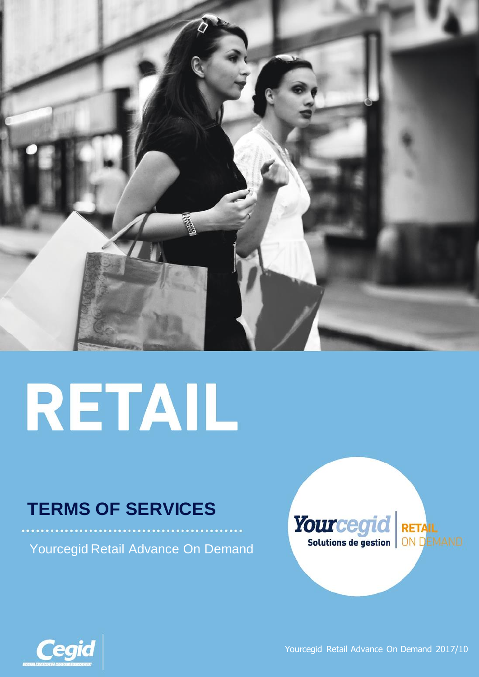

# RETAIL

# **TERMS OF SERVICES**

Yourcegid Retail Advance On Demand





Yourcegid Retail Advance On Demand 2017/10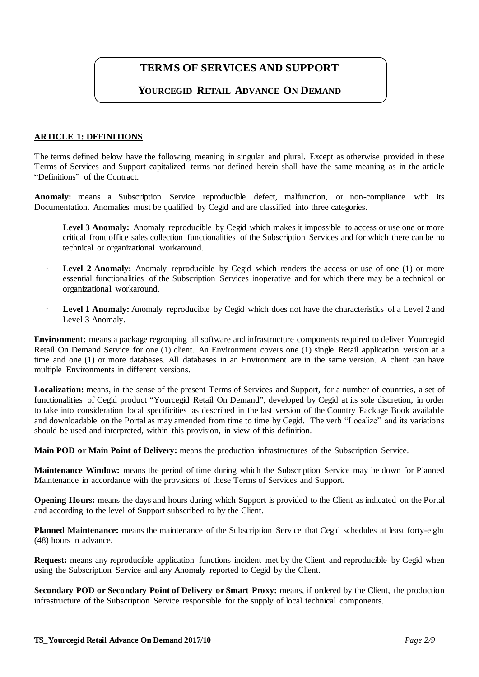## **TERMS OF SERVICES AND SUPPORT**

### **YOURCEGID RETAIL ADVANCE ON DEMAND**

#### **ARTICLE 1: DEFINITIONS**

The terms defined below have the following meaning in singular and plural. Except as otherwise provided in these Terms of Services and Support capitalized terms not defined herein shall have the same meaning as in the article "Definitions" of the Contract.

Anomaly: means a Subscription Service reproducible defect, malfunction, or non-compliance with its Documentation. Anomalies must be qualified by Cegid and are classified into three categories.

- **Level 3 Anomaly:** Anomaly reproducible by Cegid which makes it impossible to access or use one or more critical front office sales collection functionalities of the Subscription Services and for which there can be no technical or organizational workaround.
- · **Level 2 Anomaly:** Anomaly reproducible by Cegid which renders the access or use of one (1) or more essential functionalities of the Subscription Services inoperative and for which there may be a technical or organizational workaround.
- · **Level 1 Anomaly:** Anomaly reproducible by Cegid which does not have the characteristics of a Level 2 and Level 3 Anomaly.

**Environment:** means a package regrouping all software and infrastructure components required to deliver Yourcegid Retail On Demand Service for one (1) client. An Environment covers one (1) single Retail application version at a time and one (1) or more databases. All databases in an Environment are in the same version. A client can have multiple Environments in different versions.

Localization: means, in the sense of the present Terms of Services and Support, for a number of countries, a set of functionalities of Cegid product "Yourcegid Retail On Demand", developed by Cegid at its sole discretion, in order to take into consideration local specificities as described in the last version of the Country Package Book available and downloadable on the Portal as may amended from time to time by Cegid. The verb "Localize" and its variations should be used and interpreted, within this provision, in view of this definition.

**Main POD or Main Point of Delivery:** means the production infrastructures of the Subscription Service.

**Maintenance Window:** means the period of time during which the Subscription Service may be down for Planned Maintenance in accordance with the provisions of these Terms of Services and Support.

**Opening Hours:** means the days and hours during which Support is provided to the Client as indicated on the Portal and according to the level of Support subscribed to by the Client.

**Planned Maintenance:** means the maintenance of the Subscription Service that Cegid schedules at least forty-eight (48) hours in advance.

**Request:** means any reproducible application functions incident met by the Client and reproducible by Cegid when using the Subscription Service and any Anomaly reported to Cegid by the Client.

**Secondary POD or Secondary Point of Delivery or Smart Proxy:** means, if ordered by the Client, the production infrastructure of the Subscription Service responsible for the supply of local technical components.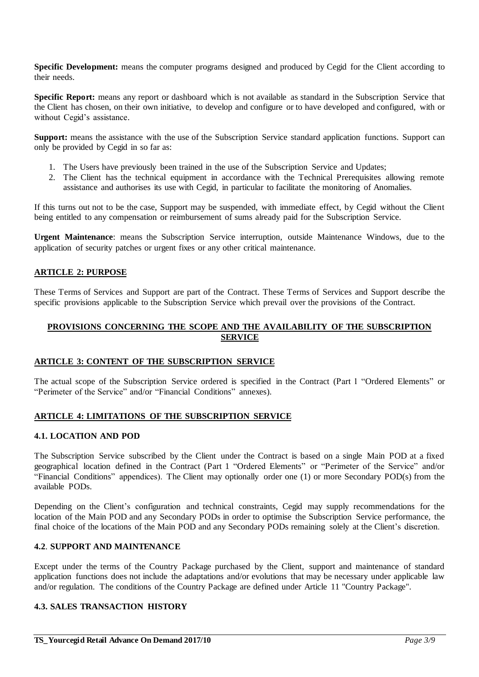**Specific Development:** means the computer programs designed and produced by Cegid for the Client according to their needs.

**Specific Report:** means any report or dashboard which is not available as standard in the Subscription Service that the Client has chosen, on their own initiative, to develop and configure or to have developed and configured, with or without Cegid's assistance.

**Support:** means the assistance with the use of the Subscription Service standard application functions. Support can only be provided by Cegid in so far as:

- 1. The Users have previously been trained in the use of the Subscription Service and Updates;
- 2. The Client has the technical equipment in accordance with the Technical Prerequisites allowing remote assistance and authorises its use with Cegid, in particular to facilitate the monitoring of Anomalies.

If this turns out not to be the case, Support may be suspended, with immediate effect, by Cegid without the Client being entitled to any compensation or reimbursement of sums already paid for the Subscription Service.

**Urgent Maintenance**: means the Subscription Service interruption, outside Maintenance Windows, due to the application of security patches or urgent fixes or any other critical maintenance.

#### **ARTICLE 2: PURPOSE**

These Terms of Services and Support are part of the Contract. These Terms of Services and Support describe the specific provisions applicable to the Subscription Service which prevail over the provisions of the Contract.

#### **PROVISIONS CONCERNING THE SCOPE AND THE AVAILABILITY OF THE SUBSCRIPTION SERVICE**

#### **ARTICLE 3: CONTENT OF THE SUBSCRIPTION SERVICE**

The actual scope of the Subscription Service ordered is specified in the Contract (Part 1 "Ordered Elements" or "Perimeter of the Service" and/or "Financial Conditions" annexes).

#### **ARTICLE 4: LIMITATIONS OF THE SUBSCRIPTION SERVICE**

#### **4.1. LOCATION AND POD**

The Subscription Service subscribed by the Client under the Contract is based on a single Main POD at a fixed geographical location defined in the Contract (Part 1 "Ordered Elements" or "Perimeter of the Service" and/or "Financial Conditions" appendices). The Client may optionally order one (1) or more Secondary POD(s) from the available PODs.

Depending on the Client's configuration and technical constraints, Cegid may supply recommendations for the location of the Main POD and any Secondary PODs in order to optimise the Subscription Service performance, the final choice of the locations of the Main POD and any Secondary PODs remaining solely at the Client's discretion.

#### **4.2**. **SUPPORT AND MAINTENANCE**

Except under the terms of the Country Package purchased by the Client, support and maintenance of standard application functions does not include the adaptations and/or evolutions that may be necessary under applicable law and/or regulation. The conditions of the Country Package are defined under Article 11 "Country Package".

#### **4.3. SALES TRANSACTION HISTORY**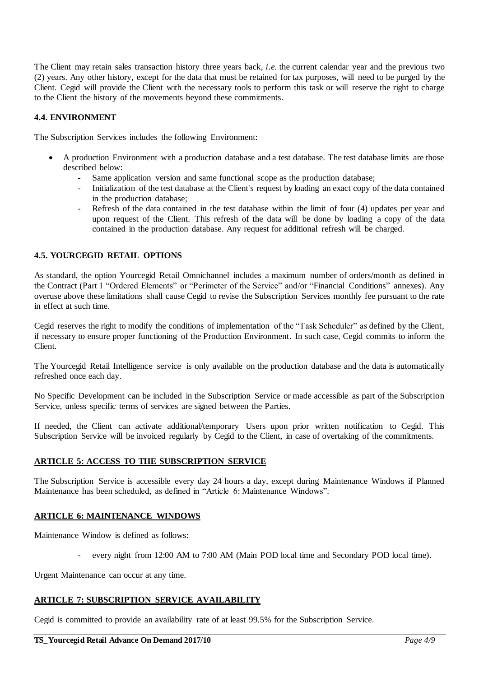The Client may retain sales transaction history three years back, *i.e.* the current calendar year and the previous two (2) years. Any other history, except for the data that must be retained for tax purposes, will need to be purged by the Client. Cegid will provide the Client with the necessary tools to perform this task or will reserve the right to charge to the Client the history of the movements beyond these commitments.

#### **4.4. ENVIRONMENT**

The Subscription Services includes the following Environment:

- A production Environment with a production database and a test database. The test database limits are those described below:
	- Same application version and same functional scope as the production database;
	- Initialization of the test database at the Client's request by loading an exact copy of the data contained in the production database;
	- Refresh of the data contained in the test database within the limit of four (4) updates per year and upon request of the Client. This refresh of the data will be done by loading a copy of the data contained in the production database. Any request for additional refresh will be charged.

#### **4.5. YOURCEGID RETAIL OPTIONS**

As standard, the option Yourcegid Retail Omnichannel includes a maximum number of orders/month as defined in the Contract (Part 1 "Ordered Elements" or "Perimeter of the Service" and/or "Financial Conditions" annexes). Any overuse above these limitations shall cause Cegid to revise the Subscription Services monthly fee pursuant to the rate in effect at such time.

Cegid reserves the right to modify the conditions of implementation of the "Task Scheduler" as defined by the Client, if necessary to ensure proper functioning of the Production Environment. In such case, Cegid commits to inform the Client.

The Yourcegid Retail Intelligence service is only available on the production database and the data is automatically refreshed once each day.

No Specific Development can be included in the Subscription Service or made accessible as part of the Subscription Service, unless specific terms of services are signed between the Parties.

If needed, the Client can activate additional/temporary Users upon prior written notification to Cegid. This Subscription Service will be invoiced regularly by Cegid to the Client, in case of overtaking of the commitments.

#### **ARTICLE 5: ACCESS TO THE SUBSCRIPTION SERVICE**

The Subscription Service is accessible every day 24 hours a day, except during Maintenance Windows if Planned Maintenance has been scheduled, as defined in "Article 6: Maintenance Windows".

#### **ARTICLE 6: MAINTENANCE WINDOWS**

Maintenance Window is defined as follows:

every night from 12:00 AM to 7:00 AM (Main POD local time and Secondary POD local time).

Urgent Maintenance can occur at any time.

#### **ARTICLE 7: SUBSCRIPTION SERVICE AVAILABILITY**

Cegid is committed to provide an availability rate of at least 99.5% for the Subscription Service.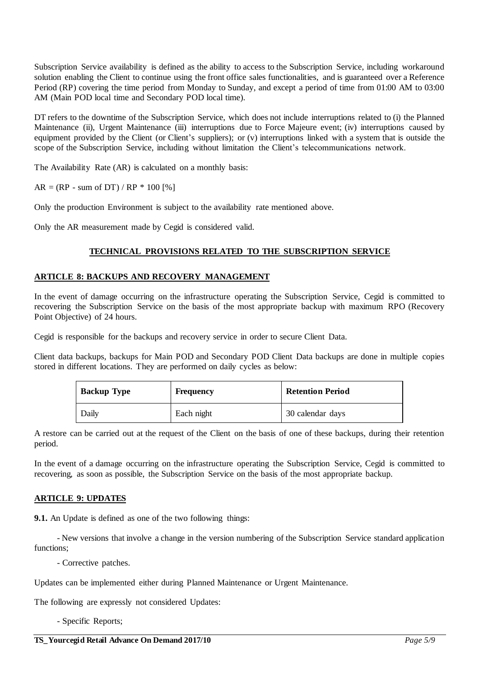Subscription Service availability is defined as the ability to access to the Subscription Service, including workaround solution enabling the Client to continue using the front office sales functionalities, and is guaranteed over a Reference Period (RP) covering the time period from Monday to Sunday, and except a period of time from 01:00 AM to 03:00 AM (Main POD local time and Secondary POD local time).

DT refers to the downtime of the Subscription Service, which does not include interruptions related to (i) the Planned Maintenance (ii), Urgent Maintenance (iii) interruptions due to Force Majeure event; (iv) interruptions caused by equipment provided by the Client (or Client's suppliers); or (v) interruptions linked with a system that is outside the scope of the Subscription Service, including without limitation the Client's telecommunications network.

The Availability Rate (AR) is calculated on a monthly basis:

 $AR = (RP - sum of DT) / RP * 100 [%]$ 

Only the production Environment is subject to the availability rate mentioned above.

Only the AR measurement made by Cegid is considered valid.

#### **TECHNICAL PROVISIONS RELATED TO THE SUBSCRIPTION SERVICE**

#### **ARTICLE 8: BACKUPS AND RECOVERY MANAGEMENT**

In the event of damage occurring on the infrastructure operating the Subscription Service, Cegid is committed to recovering the Subscription Service on the basis of the most appropriate backup with maximum RPO (Recovery Point Objective) of 24 hours.

Cegid is responsible for the backups and recovery service in order to secure Client Data.

Client data backups, backups for Main POD and Secondary POD Client Data backups are done in multiple copies stored in different locations. They are performed on daily cycles as below:

| <b>Backup Type</b> | <b>Frequency</b> | <b>Retention Period</b> |  |
|--------------------|------------------|-------------------------|--|
| Daily              | Each night       | 30 calendar days        |  |

A restore can be carried out at the request of the Client on the basis of one of these backups, during their retention period.

In the event of a damage occurring on the infrastructure operating the Subscription Service, Cegid is committed to recovering, as soon as possible, the Subscription Service on the basis of the most appropriate backup.

#### **ARTICLE 9: UPDATES**

**9.1.** An Update is defined as one of the two following things:

- New versions that involve a change in the version numbering of the Subscription Service standard application functions;

- Corrective patches.

Updates can be implemented either during Planned Maintenance or Urgent Maintenance.

The following are expressly not considered Updates:

- Specific Reports;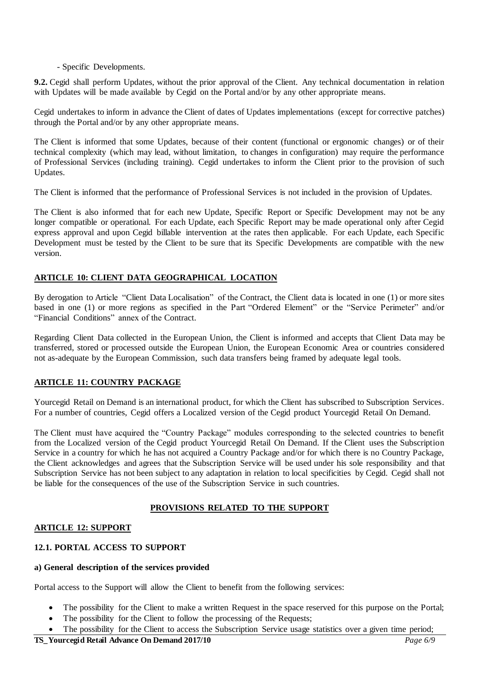#### - Specific Developments.

**9.2.** Cegid shall perform Updates, without the prior approval of the Client. Any technical documentation in relation with Updates will be made available by Cegid on the Portal and/or by any other appropriate means.

Cegid undertakes to inform in advance the Client of dates of Updates implementations (except for corrective patches) through the Portal and/or by any other appropriate means.

The Client is informed that some Updates, because of their content (functional or ergonomic changes) or of their technical complexity (which may lead, without limitation, to changes in configuration) may require the performance of Professional Services (including training). Cegid undertakes to inform the Client prior to the provision of such Updates.

The Client is informed that the performance of Professional Services is not included in the provision of Updates.

The Client is also informed that for each new Update, Specific Report or Specific Development may not be any longer compatible or operational. For each Update, each Specific Report may be made operational only after Cegid express approval and upon Cegid billable intervention at the rates then applicable. For each Update, each Specific Development must be tested by the Client to be sure that its Specific Developments are compatible with the new version.

#### **ARTICLE 10: CLIENT DATA GEOGRAPHICAL LOCATION**

By derogation to Article "Client Data Localisation" of the Contract, the Client data is located in one (1) or more sites based in one (1) or more regions as specified in the Part "Ordered Element" or the "Service Perimeter" and/or "Financial Conditions" annex of the Contract.

Regarding Client Data collected in the European Union, the Client is informed and accepts that Client Data may be transferred, stored or processed outside the European Union, the European Economic Area or countries considered not as-adequate by the European Commission, such data transfers being framed by adequate legal tools.

#### **ARTICLE 11: COUNTRY PACKAGE**

Yourcegid Retail on Demand is an international product, for which the Client has subscribed to Subscription Services. For a number of countries, Cegid offers a Localized version of the Cegid product Yourcegid Retail On Demand.

The Client must have acquired the "Country Package" modules corresponding to the selected countries to benefit from the Localized version of the Cegid product Yourcegid Retail On Demand. If the Client uses the Subscription Service in a country for which he has not acquired a Country Package and/or for which there is no Country Package, the Client acknowledges and agrees that the Subscription Service will be used under his sole responsibility and that Subscription Service has not been subject to any adaptation in relation to local specificities by Cegid. Cegid shall not be liable for the consequences of the use of the Subscription Service in such countries.

#### **PROVISIONS RELATED TO THE SUPPORT**

#### **ARTICLE 12: SUPPORT**

#### **12.1. PORTAL ACCESS TO SUPPORT**

#### **a) General description of the services provided**

Portal access to the Support will allow the Client to benefit from the following services:

- The possibility for the Client to make a written Request in the space reserved for this purpose on the Portal;
- The possibility for the Client to follow the processing of the Requests;
- The possibility for the Client to access the Subscription Service usage statistics over a given time period;

#### **TS\_Yourcegid Retail Advance On Demand 2017/10** *Page 6/9*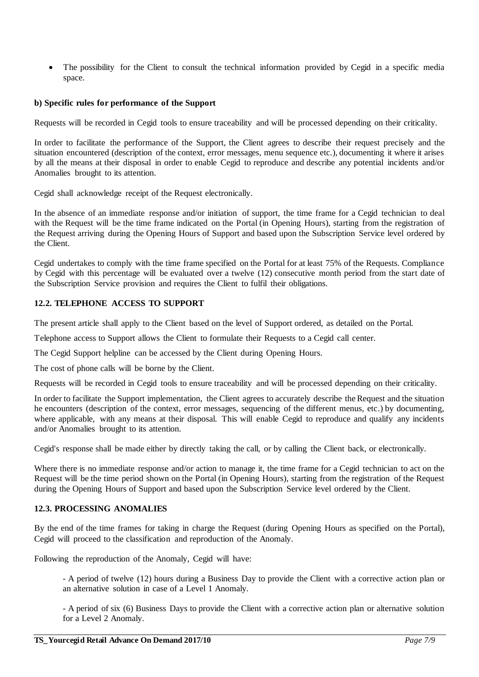The possibility for the Client to consult the technical information provided by Cegid in a specific media space.

#### **b) Specific rules for performance of the Support**

Requests will be recorded in Cegid tools to ensure traceability and will be processed depending on their criticality.

In order to facilitate the performance of the Support, the Client agrees to describe their request precisely and the situation encountered (description of the context, error messages, menu sequence etc.), documenting it where it arises by all the means at their disposal in order to enable Cegid to reproduce and describe any potential incidents and/or Anomalies brought to its attention.

Cegid shall acknowledge receipt of the Request electronically.

In the absence of an immediate response and/or initiation of support, the time frame for a Cegid technician to deal with the Request will be the time frame indicated on the Portal (in Opening Hours), starting from the registration of the Request arriving during the Opening Hours of Support and based upon the Subscription Service level ordered by the Client.

Cegid undertakes to comply with the time frame specified on the Portal for at least 75% of the Requests. Compliance by Cegid with this percentage will be evaluated over a twelve (12) consecutive month period from the start date of the Subscription Service provision and requires the Client to fulfil their obligations.

#### **12.2. TELEPHONE ACCESS TO SUPPORT**

The present article shall apply to the Client based on the level of Support ordered, as detailed on the Portal.

Telephone access to Support allows the Client to formulate their Requests to a Cegid call center.

The Cegid Support helpline can be accessed by the Client during Opening Hours.

The cost of phone calls will be borne by the Client.

Requests will be recorded in Cegid tools to ensure traceability and will be processed depending on their criticality.

In order to facilitate the Support implementation, the Client agrees to accurately describe the Request and the situation he encounters (description of the context, error messages, sequencing of the different menus, etc.) by documenting, where applicable, with any means at their disposal. This will enable Cegid to reproduce and qualify any incidents and/or Anomalies brought to its attention.

Cegid's response shall be made either by directly taking the call, or by calling the Client back, or electronically.

Where there is no immediate response and/or action to manage it, the time frame for a Cegid technician to act on the Request will be the time period shown on the Portal (in Opening Hours), starting from the registration of the Request during the Opening Hours of Support and based upon the Subscription Service level ordered by the Client.

#### **12.3. PROCESSING ANOMALIES**

By the end of the time frames for taking in charge the Request (during Opening Hours as specified on the Portal), Cegid will proceed to the classification and reproduction of the Anomaly.

Following the reproduction of the Anomaly, Cegid will have:

- A period of twelve (12) hours during a Business Day to provide the Client with a corrective action plan or an alternative solution in case of a Level 1 Anomaly.

- A period of six (6) Business Days to provide the Client with a corrective action plan or alternative solution for a Level 2 Anomaly.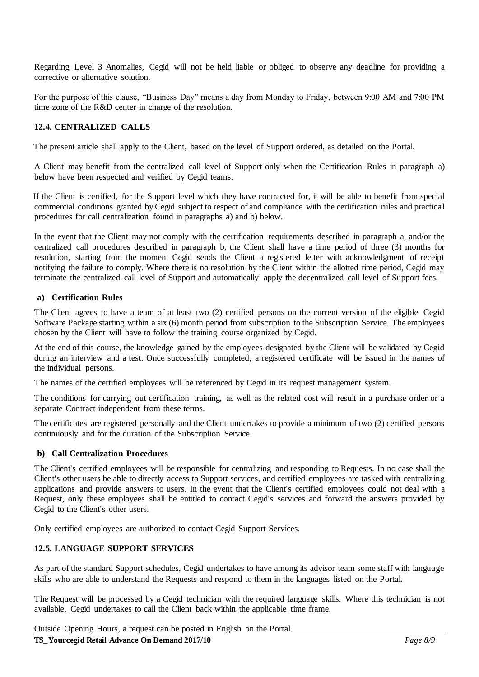Regarding Level 3 Anomalies, Cegid will not be held liable or obliged to observe any deadline for providing a corrective or alternative solution.

For the purpose of this clause, "Business Day" means a day from Monday to Friday, between 9:00 AM and 7:00 PM time zone of the R&D center in charge of the resolution.

#### **12.4. CENTRALIZED CALLS**

The present article shall apply to the Client, based on the level of Support ordered, as detailed on the Portal.

A Client may benefit from the centralized call level of Support only when the Certification Rules in paragraph a) below have been respected and verified by Cegid teams.

If the Client is certified, for the Support level which they have contracted for, it will be able to benefit from special commercial conditions granted by Cegid subject to respect of and compliance with the certification rules and practical procedures for call centralization found in paragraphs a) and b) below.

In the event that the Client may not comply with the certification requirements described in paragraph a, and/or the centralized call procedures described in paragraph b, the Client shall have a time period of three (3) months for resolution, starting from the moment Cegid sends the Client a registered letter with acknowledgment of receipt notifying the failure to comply. Where there is no resolution by the Client within the allotted time period, Cegid may terminate the centralized call level of Support and automatically apply the decentralized call level of Support fees.

#### **a) Certification Rules**

The Client agrees to have a team of at least two (2) certified persons on the current version of the eligible Cegid Software Package starting within a six (6) month period from subscription to the Subscription Service. The employees chosen by the Client will have to follow the training course organized by Cegid.

At the end of this course, the knowledge gained by the employees designated by the Client will be validated by Cegid during an interview and a test. Once successfully completed, a registered certificate will be issued in the names of the individual persons.

The names of the certified employees will be referenced by Cegid in its request management system.

The conditions for carrying out certification training, as well as the related cost will result in a purchase order or a separate Contract independent from these terms.

The certificates are registered personally and the Client undertakes to provide a minimum of two (2) certified persons continuously and for the duration of the Subscription Service.

#### **b) Call Centralization Procedures**

The Client's certified employees will be responsible for centralizing and responding to Requests. In no case shall the Client's other users be able to directly access to Support services, and certified employees are tasked with centralizing applications and provide answers to users. In the event that the Client's certified employees could not deal with a Request, only these employees shall be entitled to contact Cegid's services and forward the answers provided by Cegid to the Client's other users.

Only certified employees are authorized to contact Cegid Support Services.

#### **12.5. LANGUAGE SUPPORT SERVICES**

As part of the standard Support schedules, Cegid undertakes to have among its advisor team some staff with language skills who are able to understand the Requests and respond to them in the languages listed on the Portal.

The Request will be processed by a Cegid technician with the required language skills. Where this technician is not available, Cegid undertakes to call the Client back within the applicable time frame.

Outside Opening Hours, a request can be posted in English on the Portal.